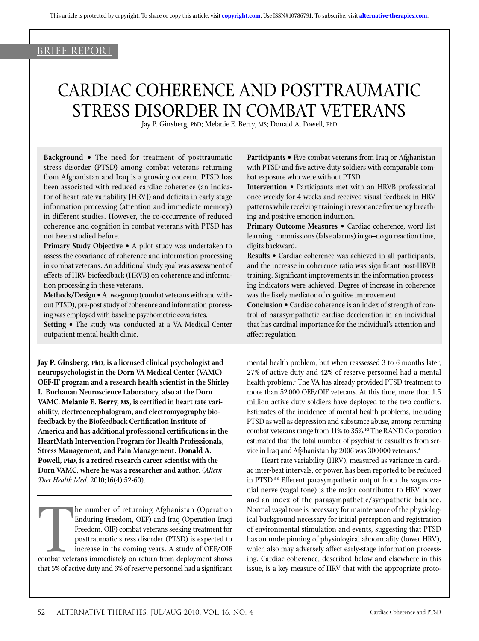# <u>brief report</u>

# Cardiac Coherence and Posttraumatic Stress Disorder in Combat Veterans

Jay P. Ginsberg, PhD; Melanie E. Berry, MS; Donald A. Powell, PhD

**Background •** The need for treatment of posttraumatic stress disorder (PTSD) among combat veterans returning from Afghanistan and Iraq is a growing concern. PTSD has been associated with reduced cardiac coherence (an indicator of heart rate variability [HRV]) and deficits in early stage information processing (attention and immediate memory) in different studies. However, the co-occurrence of reduced coherence and cognition in combat veterans with PTSD has not been studied before.

**Primary Study Objective •** A pilot study was undertaken to assess the covariance of coherence and information processing in combat veterans. An additional study goal was assessment of effects of HRV biofeedback (HRVB) on coherence and information processing in these veterans.

**Methods/Design •** A two-group (combat veterans with and without PTSD), pre-post study of coherence and information processing was employed with baseline psychometric covariates.

**Setting •** The study was conducted at a VA Medical Center outpatient mental health clinic.

**Jay P. Ginsberg, PhD, is a licensed clinical psychologist and neuropsychologist in the Dorn VA Medical Center (VAMC) OEF-IF program and a research health scientist in the Shirley L. Buchanan Neuroscience Laboratory, also at the Dorn VAMC. Melanie E. Berry, MS, is certified in heart rate variability, electroencephalogram, and electromyography biofeedback by the Biofeedback Certification Institute of America and has additional professional certifications in the HeartMath Intervention Program for Health Professionals, Stress Management, and Pain Management. Donald A. Powell, PhD, is a retired research career scientist with the Dorn VAMC, where he was a researcher and author.** (*Altern Ther Health Med*. 2010;16(4):52-60).

The number of returning Afghanistan (Operation Iraqi Freedom, OEF) and Iraq (Operation Iraqi Freedom, OIF) combat veterans seeking treatment for posttraumatic stress disorder (PTSD) is expected to increase in the coming ye he number of returning Afghanistan (Operation Enduring Freedom, OEF) and Iraq (Operation Iraqi Freedom, OIF) combat veterans seeking treatment for posttraumatic stress disorder (PTSD) is expected to increase in the coming years. A study of OEF/OIF that 5% of active duty and 6% of reserve personnel had a significant **Participants •** Five combat veterans from Iraq or Afghanistan with PTSD and five active-duty soldiers with comparable combat exposure who were without PTSD.

**Intervention •** Participants met with an HRVB professional once weekly for 4 weeks and received visual feedback in HRV patterns while receiving training in resonance frequency breathing and positive emotion induction.

**Primary Outcome Measures •** Cardiac coherence, word list learning, commissions (false alarms) in go–no go reaction time, digits backward.

**Results •** Cardiac coherence was achieved in all participants, and the increase in coherence ratio was significant post-HRVB training. Significant improvements in the information processing indicators were achieved. Degree of increase in coherence was the likely mediator of cognitive improvement.

**Conclusion •** Cardiac coherence is an index of strength of control of parasympathetic cardiac deceleration in an individual that has cardinal importance for the individual's attention and affect regulation.

mental health problem, but when reassessed 3 to 6 months later, 27% of active duty and 42% of reserve personnel had a mental health problem.<sup>1</sup> The VA has already provided PTSD treatment to more than 52 000 OEF/OIF veterans. At this time, more than 1.5 million active duty soldiers have deployed to the two conflicts. Estimates of the incidence of mental health problems, including PTSD as well as depression and substance abuse, among returning combat veterans range from 11% to 35%.<sup>1-3</sup> The RAND Corporation estimated that the total number of psychiatric casualties from service in Iraq and Afghanistan by 2006 was 300000 veterans.4

Heart rate variability (HRV), measured as variance in cardiac inter-beat intervals, or power, has been reported to be reduced in PTSD.5-9 Efferent parasympathetic output from the vagus cranial nerve (vagal tone) is the major contributor to HRV power and an index of the parasympathetic/sympathetic balance. Normal vagal tone is necessary for maintenance of the physiological background necessary for initial perception and registration of environmental stimulation and events, suggesting that PTSD has an underpinning of physiological abnormality (lower HRV), which also may adversely affect early-stage information processing. Cardiac coherence, described below and elsewhere in this issue, is a key measure of HRV that with the appropriate proto-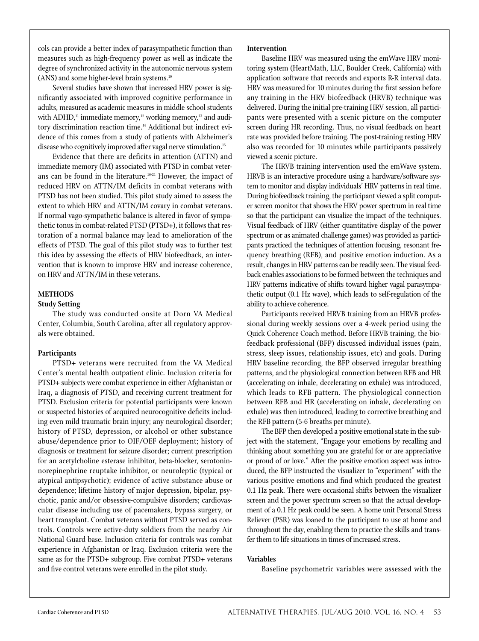cols can provide a better index of parasympathetic function than measures such as high-frequency power as well as indicate the degree of synchronized activity in the autonomic nervous system (ANS) and some higher-level brain systems.<sup>10</sup>

Several studies have shown that increased HRV power is significantly associated with improved cognitive performance in adults, measured as academic measures in middle school students with ADHD,<sup>11</sup> immediate memory,<sup>12</sup> working memory,<sup>13</sup> and auditory discrimination reaction time.<sup>14</sup> Additional but indirect evidence of this comes from a study of patients with Alzheimer's disease who cognitively improved after vagal nerve stimulation.<sup>15</sup>

Evidence that there are deficits in attention (ATTN) and immediate memory (IM) associated with PTSD in combat veterans can be found in the literature.<sup>16-21</sup> However, the impact of reduced HRV on ATTN/IM deficits in combat veterans with PTSD has not been studied. This pilot study aimed to assess the extent to which HRV and ATTN/IM covary in combat veterans. If normal vago-sympathetic balance is altered in favor of sympathetic tonus in combat-related PTSD (PTSD+), it follows that restoration of a normal balance may lead to amelioration of the effects of PTSD. The goal of this pilot study was to further test this idea by assessing the effects of HRV biofeedback, an intervention that is known to improve HRV and increase coherence, on HRV and ATTN/IM in these veterans.

## **Methods**

## **Study Setting**

The study was conducted onsite at Dorn VA Medical Center, Columbia, South Carolina, after all regulatory approvals were obtained.

## **Participants**

PTSD+ veterans were recruited from the VA Medical Center's mental health outpatient clinic. Inclusion criteria for PTSD+ subjects were combat experience in either Afghanistan or Iraq, a diagnosis of PTSD, and receiving current treatment for PTSD. Exclusion criteria for potential participants were known or suspected histories of acquired neurocognitive deficits including even mild traumatic brain injury; any neurological disorder; history of PTSD, depression, or alcohol or other substance abuse/dependence prior to OIF/OEF deployment; history of diagnosis or treatment for seizure disorder; current prescription for an acetylcholine esterase inhibitor, beta-blocker, serotoninnorepinephrine reuptake inhibitor, or neuroleptic (typical or atypical antipsychotic); evidence of active substance abuse or dependence; lifetime history of major depression, bipolar, psychotic, panic and/or obsessive-compulsive disorders; cardiovascular disease including use of pacemakers, bypass surgery, or heart transplant. Combat veterans without PTSD served as controls. Controls were active-duty soldiers from the nearby Air National Guard base. Inclusion criteria for controls was combat experience in Afghanistan or Iraq. Exclusion criteria were the same as for the PTSD+ subgroup. Five combat PTSD+ veterans and five control veterans were enrolled in the pilot study.

## **Intervention**

Baseline HRV was measured using the emWave HRV monitoring system (HeartMath, LLC, Boulder Creek, California) with application software that records and exports R-R interval data. HRV was measured for 10 minutes during the first session before any training in the HRV biofeedback (HRVB) technique was delivered. During the initial pre-training HRV session, all participants were presented with a scenic picture on the computer screen during HR recording. Thus, no visual feedback on heart rate was provided before training. The post-training resting HRV also was recorded for 10 minutes while participants passively viewed a scenic picture.

The HRVB training intervention used the emWave system. HRVB is an interactive procedure using a hardware/software system to monitor and display individuals' HRV patterns in real time. During biofeedback training, the participant viewed a split computer screen monitor that shows the HRV power spectrum in real time so that the participant can visualize the impact of the techniques. Visual feedback of HRV (either quantitative display of the power spectrum or as animated challenge games) was provided as participants practiced the techniques of attention focusing, resonant frequency breathing (RFB), and positive emotion induction. As a result, changes in HRV patterns can be readily seen. The visual feedback enables associations to be formed between the techniques and HRV patterns indicative of shifts toward higher vagal parasympathetic output (0.1 Hz wave), which leads to self-regulation of the ability to achieve coherence.

Participants received HRVB training from an HRVB professional during weekly sessions over a 4-week period using the Quick Coherence Coach method. Before HRVB training, the biofeedback professional (BFP) discussed individual issues (pain, stress, sleep issues, relationship issues, etc) and goals. During HRV baseline recording, the BFP observed irregular breathing patterns, and the physiological connection between RFB and HR (accelerating on inhale, decelerating on exhale) was introduced, which leads to RFB pattern. The physiological connection between RFB and HR (accelerating on inhale, decelerating on exhale) was then introduced, leading to corrective breathing and the RFB pattern (5-6 breaths per minute).

The BFP then developed a positive emotional state in the subject with the statement, "Engage your emotions by recalling and thinking about something you are grateful for or are appreciative or proud of or love." After the positive emotion aspect was introduced, the BFP instructed the visualizer to "experiment" with the various positive emotions and find which produced the greatest 0.1 Hz peak. There were occasional shifts between the visualizer screen and the power spectrum screen so that the actual development of a 0.1 Hz peak could be seen. A home unit Personal Stress Reliever (PSR) was loaned to the participant to use at home and throughout the day, enabling them to practice the skills and transfer them to life situations in times of increased stress.

## **Variables**

Baseline psychometric variables were assessed with the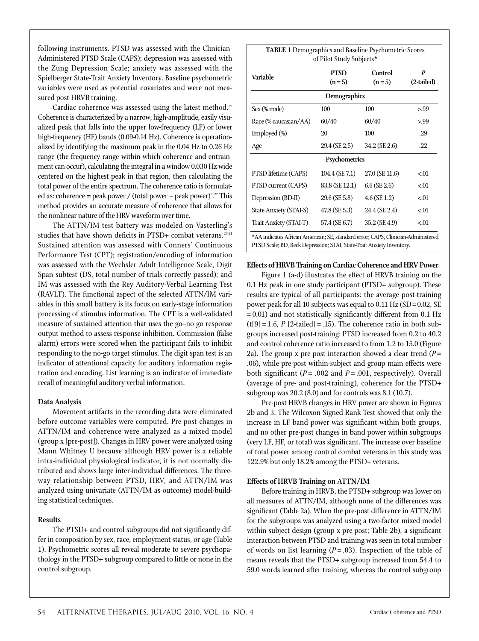following instruments. PTSD was assessed with the Clinician-Administered PTSD Scale (CAPS); depression was assessed with the Zung Depression Scale; anxiety was assessed with the Spielberger State-Trait Anxiety Inventory. Baseline psychometric variables were used as potential covariates and were not measured post-HRVB training.

Cardiac coherence was assessed using the latest method.<sup>22</sup> Coherence is characterized by a narrow, high-amplitude, easily visualized peak that falls into the upper low-frequency (LF) or lower high-frequency (HF) bands (0.09-0.14 Hz). Coherence is operationalized by identifying the maximum peak in the 0.04 Hz to 0.26 Hz range (the frequency range within which coherence and entrainment can occur), calculating the integral in a window 0.030 Hz wide centered on the highest peak in that region, then calculating the total power of the entire spectrum. The coherence ratio is formulated as: coherence = peak power / (total power – peak power)<sup>2</sup>.<sup>22</sup> This method provides an accurate measure of coherence that allows for the nonlinear nature of the HRV waveform over time.

The ATTN/IM test battery was modeled on Vasterling's studies that have shown deficits in PTSD+ combat veterans.<sup>20,21</sup> Sustained attention was assessed with Conners' Continuous Performance Test (CPT); registration/encoding of information was assessed with the Wechsler Adult Intelligence Scale, Digit Span subtest (DS, total number of trials correctly passed); and IM was assessed with the Rey Auditory-Verbal Learning Test (RAVLT). The functional aspect of the selected ATTN/IM variables in this small battery is its focus on early-stage information processing of stimulus information. The CPT is a well-validated measure of sustained attention that uses the go–no go response output method to assess response inhibition. Commission (false alarm) errors were scored when the participant fails to inhibit responding to the no-go target stimulus. The digit span test is an indicator of attentional capacity for auditory information registration and encoding. List learning is an indicator of immediate recall of meaningful auditory verbal information.

## **Data Analysis**

Movement artifacts in the recording data were eliminated before outcome variables were computed. Pre-post changes in ATTN/IM and coherence were analyzed as a mixed model (group x [pre-post]). Changes in HRV power were analyzed using Mann Whitney U because although HRV power is a reliable intra-individual physiological indicator, it is not normally distributed and shows large inter-individual differences. The threeway relationship between PTSD, HRV, and ATTN/IM was analyzed using univariate (ATTN/IM as outcome) model-building statistical techniques.

#### **Results**

The PTSD+ and control subgroups did not significantly differ in composition by sex, race, employment status, or age (Table 1). Psychometric scores all reveal moderate to severe psychopathology in the PTSD+ subgroup compared to little or none in the control subgroup.

| <b>TABLE 1</b> Demographics and Baseline Psychometric Scores<br>of Pilot Study Subjects* |                        |                    |                                |  |  |  |
|------------------------------------------------------------------------------------------|------------------------|--------------------|--------------------------------|--|--|--|
| Variable                                                                                 | <b>PTSD</b><br>$(n=5)$ | Control<br>$(n=5)$ | $\boldsymbol{p}$<br>(2-tailed) |  |  |  |
| Demographics                                                                             |                        |                    |                                |  |  |  |
| Sex (% male)                                                                             | 100                    | 100                | > 0.99                         |  |  |  |
| Race (% caucasian/AA)                                                                    | 60/40                  | 60/40              | > .99                          |  |  |  |
| Employed (%)                                                                             | 20                     | 100                | .29                            |  |  |  |
| Age                                                                                      | 29.4 (SE 2.5)          | 34.2 (SE 2.6)      | .22                            |  |  |  |
| <b>Psychometrics</b>                                                                     |                        |                    |                                |  |  |  |
| PTSD lifetime (CAPS)                                                                     | $104.4$ (SE 7.1)       | 27.0 (SE 11.6)     | < 0.01                         |  |  |  |
| PTSD current (CAPS)                                                                      | 83.8 (SE 12.1)         | $6.6$ (SE 2.6)     | < 0.01                         |  |  |  |
| Depression (BD-II)                                                                       | 29.6 (SE 5.8)          | $4.6$ (SE 1.2)     | < 0.01                         |  |  |  |
| State Anxiety (STAI-S)                                                                   | 47.8 (SE 5.3)          | 24.4 (SE 2.4)      | < 0.01                         |  |  |  |
| Trait Anxiety (STAI-T)                                                                   | 57.4 (SE 6.7)          | 35.2 (SE 4.9)      | < 0.01                         |  |  |  |
| *AA indicates African American; SE, standard error; CAPS, Clinician-Administered         |                        |                    |                                |  |  |  |

PTSD Scale; BD, Beck Depression; STAI, State-Trait Anxiety Inventory.

#### **Effects of HRVB Training on Cardiac Coherence and HRV Power**

Figure 1 (a-d) illustrates the effect of HRVB training on the 0.1 Hz peak in one study participant (PTSD+ subgroup). These results are typical of all participants: the average post-training power peak for all 10 subjects was equal to  $0.11$  Hz (SD =  $0.02$ , SE = 0.01) and not statistically significantly different from 0.1 Hz  $(t[9] = 1.6, P[2-tailed] = .15)$ . The coherence ratio in both subgroups increased post-training: PTSD increased from 0.2 to 40.2 and control coherence ratio increased to from 1.2 to 15.0 (Figure 2a). The group x pre-post interaction showed a clear trend (*P* = .06), while pre-post within-subject and group main effects were both significant (*P* = .002 and *P* = .001, respectively). Overall (average of pre- and post-training), coherence for the PTSD+ subgroup was 20.2 (8.0) and for controls was 8.1 (10.7).

Pre-post HRVB changes in HRV power are shown in Figures 2b and 3. The Wilcoxon Signed Rank Test showed that only the increase in LF band power was significant within both groups, and no other pre-post changes in band power within subgroups (very LF, HF, or total) was significant. The increase over baseline of total power among control combat veterans in this study was 122.9% but only 18.2% among the PTSD+ veterans.

## **Effects of HRVB Training on ATTN/IM**

Before training in HRVB, the PTSD+ subgroup was lower on all measures of ATTN/IM, although none of the differences was significant (Table 2a). When the pre-post difference in ATTN/IM for the subgroups was analyzed using a two-factor mixed model within-subject design (group x pre-post; Table 2b), a significant interaction between PTSD and training was seen in total number of words on list learning  $(P=.03)$ . Inspection of the table of means reveals that the PTSD+ subgroup increased from 54.4 to 59.0 words learned after training, whereas the control subgroup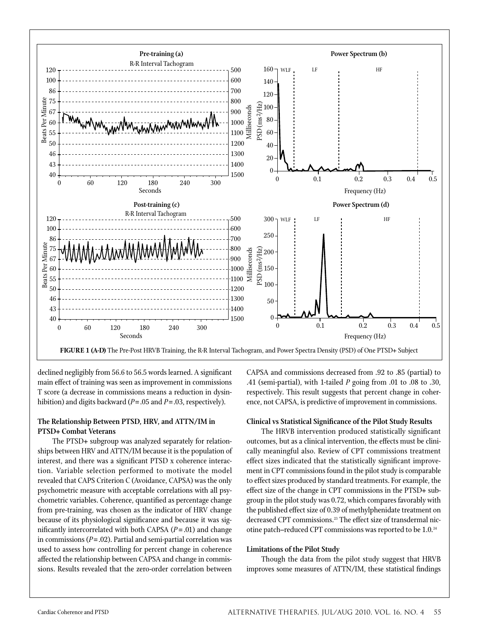

declined negligibly from 56.6 to 56.5 words learned. A significant main effect of training was seen as improvement in commissions T score (a decrease in commissions means a reduction in dysinhibition) and digits backward (*P*=.05 and *P*=.03, respectively).

## **The Relationship Between PTSD, HRV, and ATTN/IM in PTSD+ Combat Veterans**

The PTSD+ subgroup was analyzed separately for relationships between HRV and ATTN/IM because it is the population of interest, and there was a significant PTSD x coherence interaction. Variable selection performed to motivate the model revealed that CAPS Criterion C (Avoidance, CAPSA) was the only psychometric measure with acceptable correlations with all psychometric variables. Coherence, quantified as percentage change from pre-training, was chosen as the indicator of HRV change because of its physiological significance and because it was significantly intercorrelated with both CAPSA  $(P = .01)$  and change in commissions (*P*=.02). Partial and semi-partial correlation was used to assess how controlling for percent change in coherence affected the relationship between CAPSA and change in commissions. Results revealed that the zero-order correlation between

CAPSA and commissions decreased from .92 to .85 (partial) to .41 (semi-partial), with 1-tailed *P* going from .01 to .08 to .30, respectively. This result suggests that percent change in coherence, not CAPSA, is predictive of improvement in commissions.

#### **Clinical vs Statistical Significance of the Pilot Study Results**

The HRVB intervention produced statistically significant outcomes, but as a clinical intervention, the effects must be clinically meaningful also. Review of CPT commissions treatment effect sizes indicated that the statistically significant improvement in CPT commissions found in the pilot study is comparable to effect sizes produced by standard treatments. For example, the effect size of the change in CPT commissions in the PTSD+ subgroup in the pilot study was 0.72, which compares favorably with the published effect size of 0.39 of methylphenidate treatment on decreased CPT commissions.23 The effect size of transdermal nicotine patch–reduced CPT commissions was reported to be 1.0.24

#### **Limitations of the Pilot Study**

Though the data from the pilot study suggest that HRVB improves some measures of ATTN/IM, these statistical findings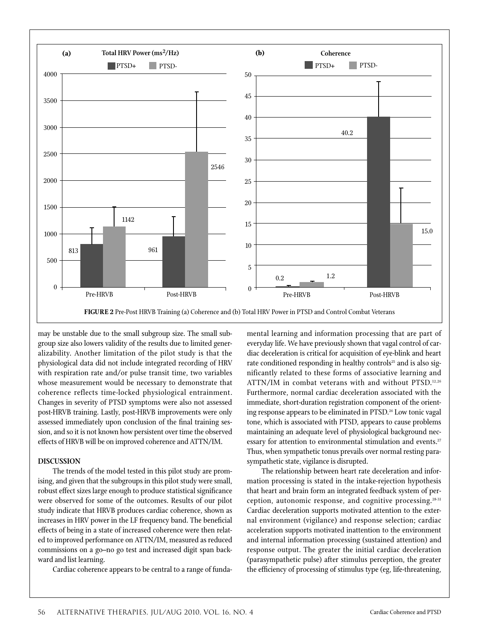

may be unstable due to the small subgroup size. The small subgroup size also lowers validity of the results due to limited generalizability. Another limitation of the pilot study is that the physiological data did not include integrated recording of HRV with respiration rate and/or pulse transit time, two variables whose measurement would be necessary to demonstrate that coherence reflects time-locked physiological entrainment. Changes in severity of PTSD symptoms were also not assessed post-HRVB training. Lastly, post-HRVB improvements were only assessed immediately upon conclusion of the final training session, and so it is not known how persistent over time the observed effects of HRVB will be on improved coherence and ATTN/IM.

## **Discussion**

The trends of the model tested in this pilot study are promising, and given that the subgroups in this pilot study were small, robust effect sizes large enough to produce statistical significance were observed for some of the outcomes. Results of our pilot study indicate that HRVB produces cardiac coherence, shown as increases in HRV power in the LF frequency band. The beneficial effects of being in a state of increased coherence were then related to improved performance on ATTN/IM, measured as reduced commissions on a go–no go test and increased digit span backward and list learning.

Cardiac coherence appears to be central to a range of funda-

mental learning and information processing that are part of everyday life. We have previously shown that vagal control of cardiac deceleration is critical for acquisition of eye-blink and heart rate conditioned responding in healthy controls<sup>25</sup> and is also significantly related to these forms of associative learning and ATTN/IM in combat veterans with and without PTSD.12,26 Furthermore, normal cardiac deceleration associated with the immediate, short-duration registration component of the orienting response appears to be eliminated in PTSD.26 Low tonic vagal tone, which is associated with PTSD, appears to cause problems maintaining an adequate level of physiological background necessary for attention to environmental stimulation and events.<sup>27</sup> Thus, when sympathetic tonus prevails over normal resting parasympathetic state, vigilance is disrupted.

The relationship between heart rate deceleration and information processing is stated in the intake-rejection hypothesis that heart and brain form an integrated feedback system of perception, autonomic response, and cognitive processing.28-31 Cardiac deceleration supports motivated attention to the external environment (vigilance) and response selection; cardiac acceleration supports motivated inattention to the environment and internal information processing (sustained attention) and response output. The greater the initial cardiac deceleration (parasympathetic pulse) after stimulus perception, the greater the efficiency of processing of stimulus type (eg, life-threatening,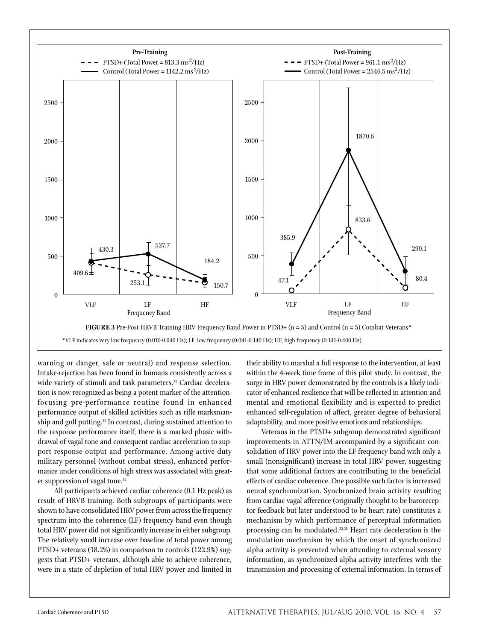

warning or danger, safe or neutral) and response selection. Intake-rejection has been found in humans consistently across a wide variety of stimuli and task parameters.<sup>32</sup> Cardiac deceleration is now recognized as being a potent marker of the attentionfocusing pre-performance routine found in enhanced performance output of skilled activities such as rifle marksmanship and golf putting.<sup>33</sup> In contrast, during sustained attention to the response performance itself, there is a marked phasic withdrawal of vagal tone and consequent cardiac acceleration to support response output and performance. Among active duty military personnel (without combat stress), enhanced performance under conditions of high stress was associated with greater suppression of vagal tone.<sup>34</sup>

 All participants achieved cardiac coherence (0.1 Hz peak) as result of HRVB training. Both subgroups of participants were shown to have consolidated HRV power from across the frequency spectrum into the coherence (LF) frequency band even though total HRV power did not significantly increase in either subgroup. The relatively small increase over baseline of total power among PTSD+ veterans (18.2%) in comparison to controls (122.9%) suggests that PTSD+ veterans, although able to achieve coherence, were in a state of depletion of total HRV power and limited in

their ability to marshal a full response to the intervention, at least within the 4-week time frame of this pilot study. In contrast, the surge in HRV power demonstrated by the controls is a likely indicator of enhanced resilience that will be reflected in attention and mental and emotional flexibility and is expected to predict enhanced self-regulation of affect, greater degree of behavioral adaptability, and more positive emotions and relationships.

Veterans in the PTSD+ subgroup demonstrated significant improvements in ATTN/IM accompanied by a significant consolidation of HRV power into the LF frequency band with only a small (nonsignificant) increase in total HRV power, suggesting that some additional factors are contributing to the beneficial effects of cardiac coherence. One possible such factor is increased neural synchronization. Synchronized brain activity resulting from cardiac vagal afference (originally thought to be baroreceptor feedback but later understood to be heart rate) constitutes a mechanism by which performance of perceptual information processing can be modulated.<sup>22,35</sup> Heart rate deceleration is the modulation mechanism by which the onset of synchronized alpha activity is prevented when attending to external sensory information, as synchronized alpha activity interferes with the transmission and processing of external information. In terms of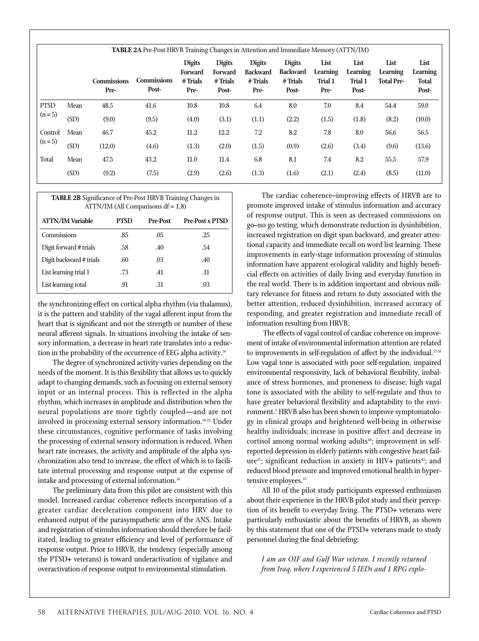|                             | <b>TABLE 2A</b> Pre-Post HRVB Training Changes in Attention and Immediate Memory (ATTN/IM) |                            |                             |                                                |                                               |                                                     |                                                       |                                     |                                      |                                       |                                    |
|-----------------------------|--------------------------------------------------------------------------------------------|----------------------------|-----------------------------|------------------------------------------------|-----------------------------------------------|-----------------------------------------------------|-------------------------------------------------------|-------------------------------------|--------------------------------------|---------------------------------------|------------------------------------|
|                             |                                                                                            | <b>Commissions</b><br>Pre- | <b>Commissions</b><br>Post- | <b>Digits</b><br>Forward<br>$#$ Trials<br>Pre- | <b>Digits</b><br>Forward<br># Trials<br>Post- | <b>Digits</b><br><b>Backward</b><br>#Trials<br>Pre- | <b>Digits</b><br><b>Backward</b><br># Trials<br>Post- | List<br>Learning<br>Trial 1<br>Pre- | List<br>Learning<br>Trial 1<br>Post- | List<br>Learning<br><b>Total Pre-</b> | List<br>Learning<br>Total<br>Post- |
| <b>PTSD</b><br>$(n=5)$      | Mean                                                                                       | 48.5                       | 41.6                        | 10.8                                           | 10.8                                          | 6.4                                                 | 8.0                                                   | 7.0                                 | 8.4                                  | 54.4                                  | 59.0                               |
|                             | (SD)                                                                                       | (9.0)                      | (9.5)                       | (4.0)                                          | (3.1)                                         | (1.1)                                               | (2.2)                                                 | (1.5)                               | (1.8)                                | (8.2)                                 | (10.0)                             |
| Control<br>$(n=5)$<br>Total | Mean                                                                                       | 46.7                       | 45.2                        | 11.2                                           | 12.2                                          | 7.2                                                 | 8.2                                                   | 7.8                                 | 8.0                                  | 56.6                                  | 56.5                               |
|                             | (SD)                                                                                       | (12.0)                     | (4.6)                       | (1.3)                                          | (2.0)                                         | (1.5)                                               | (0.9)                                                 | (2.6)                               | (3.4)                                | (9.6)                                 | (13.6)                             |
|                             | Mean                                                                                       | 47.5                       | 43.2                        | 11.0                                           | 11.4                                          | 6.8                                                 | 8.1                                                   | 7.4                                 | 8.2                                  | 55.5                                  | 57.9                               |
|                             | (SD)                                                                                       | (9.2)                      | (7.5)                       | (2.9)                                          | (2.6)                                         | (1.3)                                               | (1.6)                                                 | (2.1)                               | (2.4)                                | (8.5)                                 | (11.0)                             |

| <b>TABLE 2B</b> Significance of Pre-Post HRVB Training Changes in<br>$ATTN/IM$ (All Comparisons $df = 1,8$ ) |             |          |                        |  |  |  |
|--------------------------------------------------------------------------------------------------------------|-------------|----------|------------------------|--|--|--|
| <b>ATTN/IM Variable</b>                                                                                      | <b>PTSD</b> | Pre-Post | <b>Pre-Post x PTSD</b> |  |  |  |
| Commissions                                                                                                  | .85         | .05      | .25                    |  |  |  |
| Digit forward # trials                                                                                       | .58         | .40      | .54                    |  |  |  |
| Digit backward # trials                                                                                      | .60         | .03      | .40                    |  |  |  |
| List learning trial 1                                                                                        | .73         | .41      | .11                    |  |  |  |
| List learning total                                                                                          | .91         | -31      | .03                    |  |  |  |

the synchronizing effect on cortical alpha rhythm (via thalamus), it is the pattern and stability of the vagal afferent input from the heart that is significant and not the strength or number of these neural afferent signals. In situations involving the intake of sensory information, a decrease in heart rate translates into a reduction in the probability of the occurrence of EEG alpha activity.<sup>36</sup>

The degree of synchronized activity varies depending on the needs of the moment. It is this flexibility that allows us to quickly adapt to changing demands, such as focusing on external sensory input or an internal process. This is reflected in the alpha rhythm, which increases in amplitude and distribution when the neural populations are more tightly coupled—and are not involved in processing external sensory information.<sup>10,22</sup> Under these circumstances, cognitive performance of tasks involving the processing of external sensory information is reduced. When heart rate increases, the activity and amplitude of the alpha synchronization also tend to increase, the effect of which is to facilitate internal processing and response output at the expense of intake and processing of external information.36

The preliminary data from this pilot are consistent with this model. Increased cardiac coherence reflects incorporation of a greater cardiac deceleration component into HRV due to enhanced output of the parasympathetic arm of the ANS. Intake and registration of stimulus information should therefore be facilitated, leading to greater efficiency and level of performance of response output. Prior to HRVB, the tendency (especially among the PTSD+ veterans) is toward underactivation of vigilance and overactivation of response output to environmental stimulation.

The cardiac coherence–improving effects of HRVB are to promote improved intake of stimulus information and accuracy of response output. This is seen as decreased commissions on go–no go testing, which demonstrate reduction in dysinhibition, increased registration on digit span backward, and greater attentional capacity and immediate recall on word list learning. These improvements in early-stage information processing of stimulus information have apparent ecological validity and highly beneficial effects on activities of daily living and everyday function in the real world. There is in addition important and obvious military relevance for fitness and return to duty associated with the better attention, reduced dysinhibition, increased accuracy of responding, and greater registration and immediate recall of information resulting from HRVB.

 The effects of vagal control of cardiac coherence on improvement of intake of environmental information attention are related to improvements in self-regulation of affect by the individual.37-39 Low vagal tone is associated with poor self-regulation, impaired environmental responsivity, lack of behavioral flexibility, imbalance of stress hormones, and proneness to disease; high vagal tone is associated with the ability to self-regulate and thus to have greater behavioral flexibility and adaptability to the environment.7 HRVB also has been shown to improve symptomatology in clinical groups and heightened well-being in otherwise healthy individuals: increase in positive affect and decrease in cortisol among normal working adults<sup>40</sup>; improvement in selfreported depression in elderly patients with congestive heart failure<sup>41</sup>; significant reduction in anxiety in HIV+ patients<sup>42</sup>; and reduced blood pressure and improved emotional health in hypertensive employees.<sup>43</sup>

All 10 of the pilot study participants expressed enthusiasm about their experience in the HRVB pilot study and their perception of its benefit to everyday living. The PTSD+ veterans were particularly enthusiastic about the benefits of HRVB, as shown by this statement that one of the PTSD+ veterans made to study personnel during the final debriefing:

*I am an OIF and Gulf War veteran. I recently returned from Iraq, where I experienced 5 IEDs and 1 RPG explo-*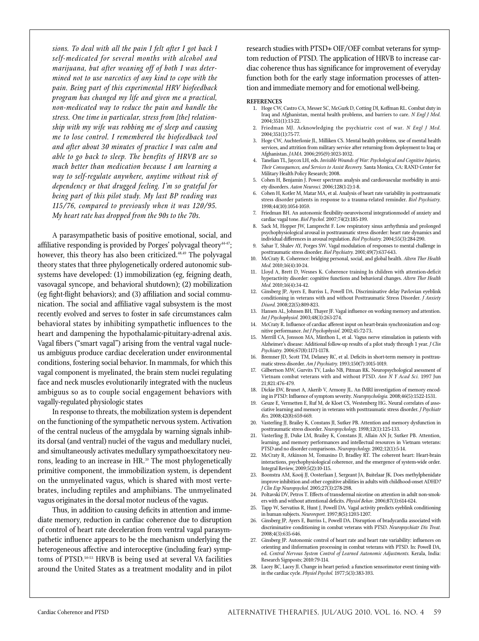*sions. To deal with all the pain I felt after I got back I self-medicated for several months with alcohol and marijuana, but after weaning off of both I was determined not to use narcotics of any kind to cope with the pain. Being part of this experimental HRV biofeedback program has changed my life and given me a practical, non-medicated way to reduce the pain and handle the stress. One time in particular, stress from [the] relationship with my wife was robbing me of sleep and causing me to lose control. I remembered the biofeedback tool and after about 30 minutes of practice I was calm and able to go back to sleep. The benefits of HRVB are so much better than medication because I am learning a way to self-regulate anywhere, anytime without risk of dependency or that drugged feeling. I'm so grateful for being part of this pilot study. My last BP reading was 115/76, compared to previously when it was 120/95. My heart rate has dropped from the 90s to the 70s.*

A parasympathetic basis of positive emotional, social, and affiliative responding is provided by Porges' polyvagal theory $44-47$ ; however, this theory has also been criticized.<sup>48,49</sup> The polyvagal theory states that three phylogenetically ordered autonomic subsystems have developed: (1) immobilization (eg, feigning death, vasovagal syncope, and behavioral shutdown); (2) mobilization (eg fight-flight behaviors); and (3) affiliation and social communication. The social and affiliative vagal subsystem is the most recently evolved and serves to foster in safe circumstances calm behavioral states by inhibiting sympathetic influences to the heart and dampening the hypothalamic-pituitary-adrenal axis. Vagal fibers ("smart vagal") arising from the ventral vagal nucleus ambiguus produce cardiac deceleration under environmental conditions, fostering social behavior. In mammals, for which this vagal component is myelinated, the brain stem nuclei regulating face and neck muscles evolutionarily integrated with the nucleus ambiguus so as to couple social engagement behaviors with vagally-regulated physiologic states

In response to threats, the mobilization system is dependent on the functioning of the sympathetic nervous system. Activation of the central nucleus of the amygdala by warning signals inhibits dorsal (and ventral) nuclei of the vagus and medullary nuclei, and simultaneously activates medullary sympathoexcitatory neurons, leading to an increase in HR.<sup>39</sup> The most phylogenetically primitive component, the immobilization system, is dependent on the unmyelinated vagus, which is shared with most vertebrates, including reptiles and amphibians. The unmyelinated vagus originates in the dorsal motor nucleus of the vagus.

Thus, in addition to causing deficits in attention and immediate memory, reduction in cardiac coherence due to disruption of control of heart rate deceleration from ventral vagal parasympathetic influence appears to be the mechanism underlying the heterogeneous affective and interoceptive (including fear) symptoms of PTSD.50-53 HRVB is being used at several VA facilities around the United States as a treatment modality and in pilot research studies with PTSD+ OIF/OEF combat veterans for symptom reduction of PTSD. The application of HRVB to increase cardiac coherence thus has significance for improvement of everyday function both for the early stage information processes of attention and immediate memory and for emotional well-being.

#### **References**

- 1. Hoge CW, Castro CA, Messer SC, McGurk D, Cotting DI, Koffman RL. Combat duty in Iraq and Afghanistan, mental health problems, and barriers to care. *N Engl J Med.* 2004;351(1):13-22.
- 2. Friedman MJ. Acknowledging the psychiatric cost of war. *N Engl J Med.* 2004;351(1):75-77.
- 3. Hoge CW, Auchterlonie JL, Milliken CS. Mental health problems, use of mental health services, and attrition from military service after returning from deployment to Iraq or Afghanistan. *JAMA.* 2006;295(9):1023-1032.
- 4. Tanelian TL, Jaycox LH, eds. *Invisible Wounds of War: Psychological and Cognitive Injuries, Their Consequences, and Services to Assist Recovery.* Santa Monica, CA: RAND Center for Military Health Policy Research; 2008.
- 5. Cohen H, Benjamin J. Power spectrum analysis and cardiovascular morbidity in anxiety disorders. *Auton Neurosci.* 2006;128(1-2):1-8.
- 6. Cohen H, Kotler M, Matar MA, et al. Analysis of heart rate variability in posttraumatic stress disorder patients in response to a trauma-related reminder. *Biol Psychiatry.* 1998;44(10):1054-1059.
- 7. Friedman BH. An autonomic flexibility-neurovisceral integrationmodel of anxiety and cardiac vagal tone. *Biol Psychol.* 2007;74(2):185-199.
- 8. Sack M, Hopper JW, Lamprecht F. Low respiratory sinus arrhythmia and prolonged psychophysiological arousal in posttraumatic stress disorder: heart rate dynamics and individual differences in arousal regulation. *Biol Psychiatry.* 2004;55(3):284-290.
- 9. Sahar T, Shalev AY, Porges SW. Vagal modulation of responses to mental challenge in posttraumatic stress disorder. *Biol Psychiatry.* 2001;49(7):637-643.
- 10. McCraty R. Coherence: bridging personal, social, and global health. *Altern Ther Health Med.* 2010;16(4):10-24.
- 11. Lloyd A, Brett D, Wesnes K. Coherence training In children with attention-deficit hyperactivity disorder: cognitive functions and behavioral changes. *Altern Ther Health Med.* 2010;16(4):34-42.
- 12. Ginsberg JP, Ayers E, Burriss L, Powell DA. Discriminative delay Pavlovian eyeblink conditioning in veterans with and without Posttraumatic Stress Disorder. *J Anxiety Disord.* 2008;22(5):809-823.
- 13. Hansen AL, Johnsen BH, Thayer JF. Vagal influence on working memory and attention. *Int J Psychophysiol.* 2003;48(3):263-274.
- 14. McCraty R. Influence of cardiac afferent input on heart-brain synchronization and cognitive performance. *Int J Psychophysiol.* 2002;45:72-73**.**
- 15. Merrill CA, Jonsson MA, Minthon L, et al. Vagus nerve stimulation in patients with Alzheimer's disease: Additional follow-up results of a pilot study through 1 year. *J Clin Psychiatry.* 2006;67(8):1171-1178.
- 16. Bremner JD, Scott TM, Delaney RC, et al. Deficits in short-term memory in posttraumatic stress disorder. *Am J Psychiatry.* 1993;150(7):1015-1019.
- 17. Gilbertson MW, Gurvits TV, Lasko NB, Pitman RK. Neuropsychological asessment of Vietnam combat veterans with and without PTSD. *Ann N Y Acad Sci.* 1997 Jun 21;821:476-479.
- 18. Dickie EW, Brunet A, Akerib V, Armony JL. An fMRI investigation of memory encoding in PTSD: Influence of symptom severity. *Neuropsychologia.* 2008;46(5):1522-1531.
- 19. Geuze E, Vermetten E, Ruf M, de Kloet CS, Westenberg HG. Neural correlates of associative learning and memory in veterans with posttraumatic stress disorder. *J Psychiatr Res.* 2008;42(8):659-669.
- 20. Vasterling JJ, Brailey K, Constans JI, Sutker PB. Attention and memory dysfunction in posttraumatic stress disorder. *Neuropsychology.* 1998;12(1):125-133.
- 21. Vasterling JJ, Duke LM, Brailey K, Constans JI, Allain AN Jr, Sutker PB. Attention, learning, and memory performances and intellectual resources in Vietnam veterans: PTSD and no disorder comparisons. *Neuropsychology.* 2002;12(1):5-14.
- 22. McCraty R, Atkinson M, Tomasino D, Bradley RT. The coherent heart: Heart-brain interactions, psychophysiological coherence, and the emergence of system-wide order. Integral Review, 2009;5(2):10-115.
- 23. Boonstra AM, Kooij JJ, Oosterlaan J, Sergeant JA, Buitelaar JK. Does methylphenidate improve inhibition and other cognitive abilities in adults with childhood-onset ADHD*? J Clin Exp Neuropsychol.* 2005;27(3):278-298.
- 24. Poltavski DV, Petros T. Effects of transdermal nicotine on attention in adult non-smokers with and without attentional deficits. *Physiol Behav.* 2006;87(3):614-624.
- 25. Tapp W, Servatius R, Hunt J, Powell DA. Vagal activity predicts eyeblink conditioning in human subjects. *Neuroreport.* 1997;8(5):1203-1207.
- 26. Ginsberg JP, Ayers E, Burriss L, Powell DA. Disruption of bradycardia associated with discriminative conditioning in combat veterans with PTSD. *Neuropsychiatr Dis Treat.* 2008;4(3):635-646.
- 27. Ginsberg JP. Autonomic control of heart rate and heart rate variability: influences on orienting and iInformation processing in combat veterans with PTSD. In: Powell DA, ed. *Central Nervous System Control of Learned Autonomic Adjustments.* Kerala, India: Research Signposts; 2010:79-114.
- 28. Lacey BC, Lacey JI. Change in heart period: a function sensorimotor event timing within the cardiac cycle. *Physiol Psychol.* 1977;5(3):383-393.